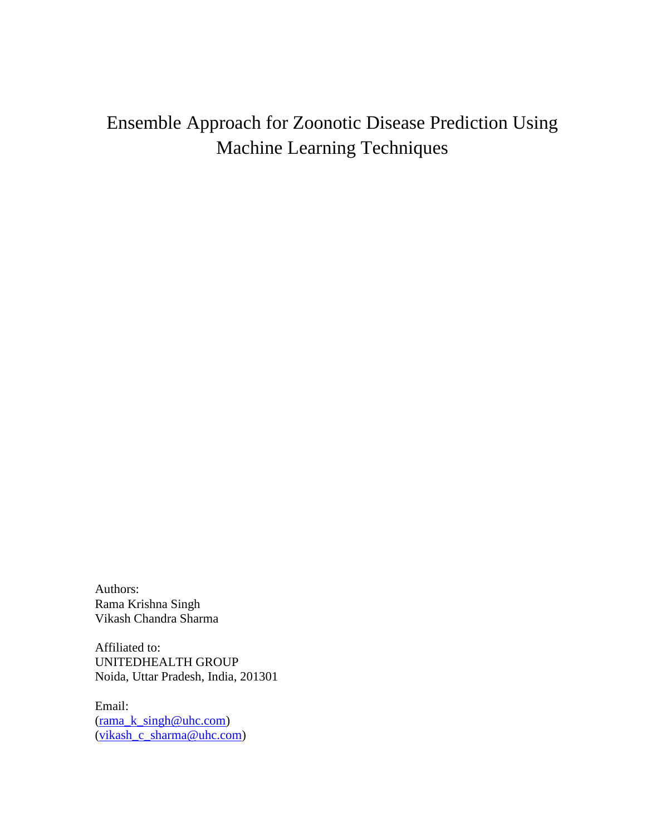# Ensemble Approach for Zoonotic Disease Prediction Using Machine Learning Techniques

Authors: Rama Krishna Singh Vikash Chandra Sharma

Affiliated to: UNITEDHEALTH GROUP Noida, Uttar Pradesh, India, 201301

Email: [\(rama\\_k\\_singh@uhc.com\)](mailto:rama_k_singh@uhc.com) [\(vikash\\_c\\_sharma@uhc.com\)](mailto:vikash_c_sharma@uhc.com)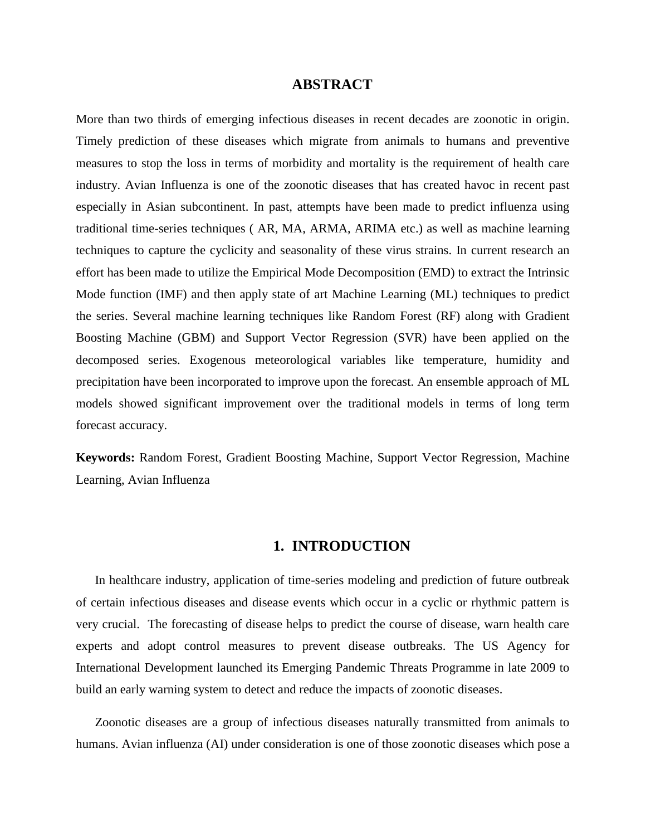#### **ABSTRACT**

More than two thirds of emerging infectious diseases in recent decades are zoonotic in origin. Timely prediction of these diseases which migrate from animals to humans and preventive measures to stop the loss in terms of morbidity and mortality is the requirement of health care industry. Avian Influenza is one of the zoonotic diseases that has created havoc in recent past especially in Asian subcontinent. In past, attempts have been made to predict influenza using traditional time-series techniques ( AR, MA, ARMA, ARIMA etc.) as well as machine learning techniques to capture the cyclicity and seasonality of these virus strains. In current research an effort has been made to utilize the Empirical Mode Decomposition (EMD) to extract the Intrinsic Mode function (IMF) and then apply state of art Machine Learning (ML) techniques to predict the series. Several machine learning techniques like Random Forest (RF) along with Gradient Boosting Machine (GBM) and Support Vector Regression (SVR) have been applied on the decomposed series. Exogenous meteorological variables like temperature, humidity and precipitation have been incorporated to improve upon the forecast. An ensemble approach of ML models showed significant improvement over the traditional models in terms of long term forecast accuracy.

**Keywords:** Random Forest, Gradient Boosting Machine, Support Vector Regression, Machine Learning, Avian Influenza

## **1. INTRODUCTION**

In healthcare industry, application of time-series modeling and prediction of future outbreak of certain infectious diseases and disease events which occur in a cyclic or rhythmic pattern is very crucial. The forecasting of disease helps to predict the course of disease, warn health care experts and adopt control measures to prevent disease outbreaks. The US Agency for International Development launched its Emerging Pandemic Threats Programme in late 2009 to build an early warning system to detect and reduce the impacts of zoonotic diseases.

Zoonotic diseases are a group of infectious diseases naturally transmitted from animals to humans. Avian influenza (AI) under consideration is one of those zoonotic diseases which pose a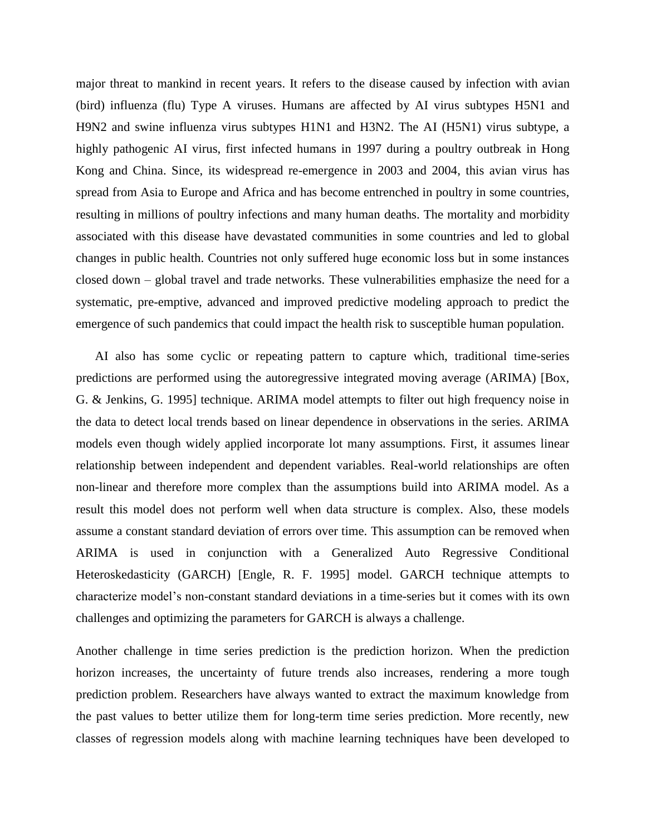major threat to mankind in recent years. It refers to the disease caused by infection with avian (bird) influenza (flu) Type A viruses. Humans are affected by AI virus subtypes H5N1 and H9N2 and swine influenza virus subtypes H1N1 and H3N2. The AI (H5N1) virus subtype, a highly pathogenic AI virus, first infected humans in 1997 during a poultry outbreak in Hong Kong and China. Since, its widespread re-emergence in 2003 and 2004, this avian virus has spread from Asia to Europe and Africa and has become entrenched in poultry in some countries, resulting in millions of poultry infections and many human deaths. The mortality and morbidity associated with this disease have devastated communities in some countries and led to global changes in public health. Countries not only suffered huge economic loss but in some instances closed down – global travel and trade networks. These vulnerabilities emphasize the need for a systematic, pre-emptive, advanced and improved predictive modeling approach to predict the emergence of such pandemics that could impact the health risk to susceptible human population.

AI also has some cyclic or repeating pattern to capture which, traditional time-series predictions are performed using the autoregressive integrated moving average (ARIMA) [Box, G. & Jenkins, G. 1995] technique. ARIMA model attempts to filter out high frequency noise in the data to detect local trends based on linear dependence in observations in the series. ARIMA models even though widely applied incorporate lot many assumptions. First, it assumes linear relationship between independent and dependent variables. Real-world relationships are often non-linear and therefore more complex than the assumptions build into ARIMA model. As a result this model does not perform well when data structure is complex. Also, these models assume a constant standard deviation of errors over time. This assumption can be removed when ARIMA is used in conjunction with a Generalized Auto Regressive Conditional Heteroskedasticity (GARCH) [Engle, R. F. 1995] model. GARCH technique attempts to characterize model's non-constant standard deviations in a time-series but it comes with its own challenges and optimizing the parameters for GARCH is always a challenge.

Another challenge in time series prediction is the prediction horizon. When the prediction horizon increases, the uncertainty of future trends also increases, rendering a more tough prediction problem. Researchers have always wanted to extract the maximum knowledge from the past values to better utilize them for long-term time series prediction. More recently, new classes of regression models along with machine learning techniques have been developed to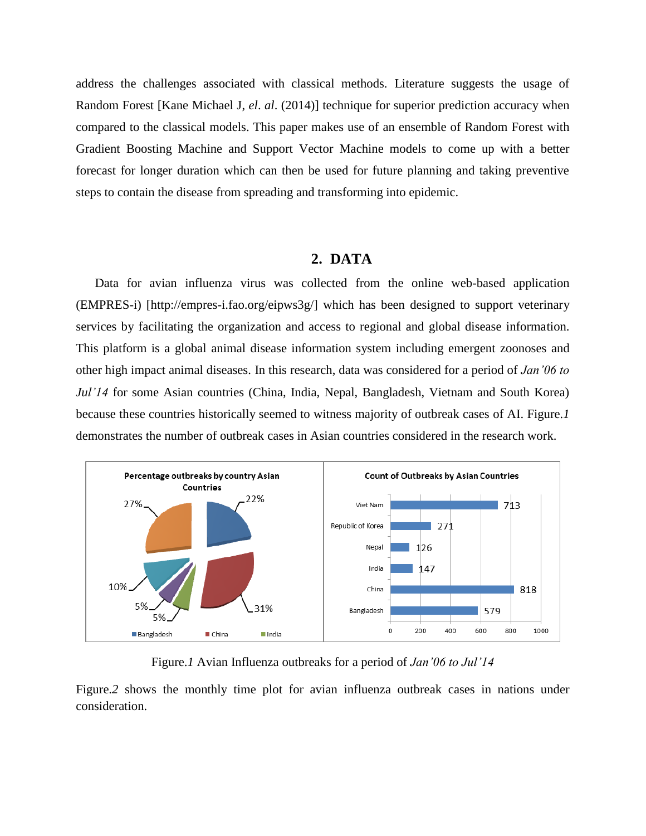address the challenges associated with classical methods. Literature suggests the usage of Random Forest [Kane Michael J, *el*. *al*. (2014)] technique for superior prediction accuracy when compared to the classical models. This paper makes use of an ensemble of Random Forest with Gradient Boosting Machine and Support Vector Machine models to come up with a better forecast for longer duration which can then be used for future planning and taking preventive steps to contain the disease from spreading and transforming into epidemic.

## **2. DATA**

Data for avian influenza virus was collected from the online web-based application (EMPRES-i) [http://empres-i.fao.org/eipws3g/] which has been designed to support veterinary services by facilitating the organization and access to regional and global disease information. This platform is a global animal disease information system including emergent zoonoses and other high impact animal diseases. In this research, data was considered for a period of *Jan'06 to Jul'14* for some Asian countries (China, India, Nepal, Bangladesh, Vietnam and South Korea) because these countries historically seemed to witness majority of outbreak cases of AI. Figure.*1* demonstrates the number of outbreak cases in Asian countries considered in the research work.



Figure.*1* Avian Influenza outbreaks for a period of *Jan'06 to Jul'14*

Figure.*2* shows the monthly time plot for avian influenza outbreak cases in nations under consideration.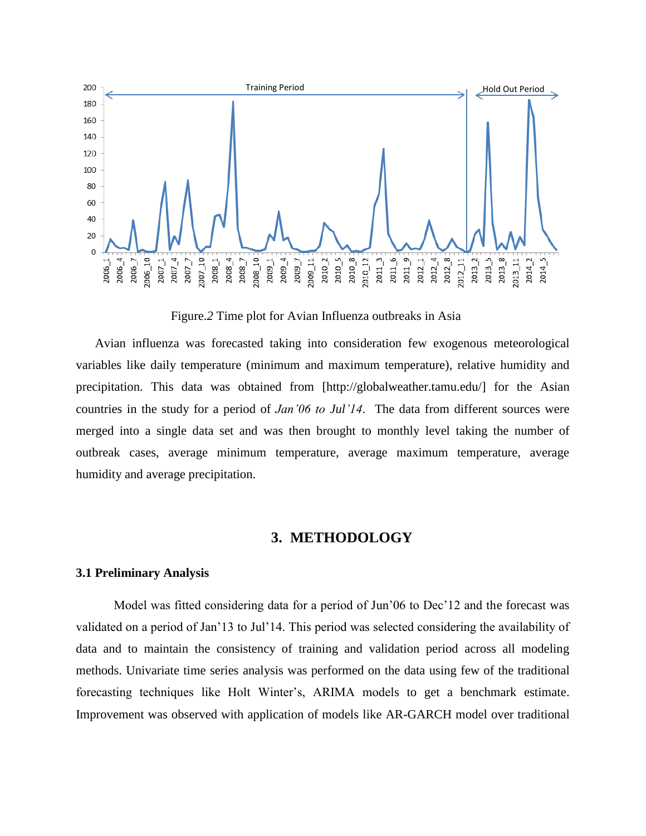

Figure.*2* Time plot for Avian Influenza outbreaks in Asia

Avian influenza was forecasted taking into consideration few exogenous meteorological variables like daily temperature (minimum and maximum temperature), relative humidity and precipitation. This data was obtained from [\[http://globalweather.tamu.edu/\]](http://globalweather.tamu.edu/) for the Asian countries in the study for a period of *Jan'06 to Jul'14*. The data from different sources were merged into a single data set and was then brought to monthly level taking the number of outbreak cases, average minimum temperature, average maximum temperature, average humidity and average precipitation.

## **3. METHODOLOGY**

#### **3.1 Preliminary Analysis**

Model was fitted considering data for a period of Jun'06 to Dec'12 and the forecast was validated on a period of Jan'13 to Jul'14. This period was selected considering the availability of data and to maintain the consistency of training and validation period across all modeling methods. Univariate time series analysis was performed on the data using few of the traditional forecasting techniques like Holt Winter's, ARIMA models to get a benchmark estimate. Improvement was observed with application of models like AR-GARCH model over traditional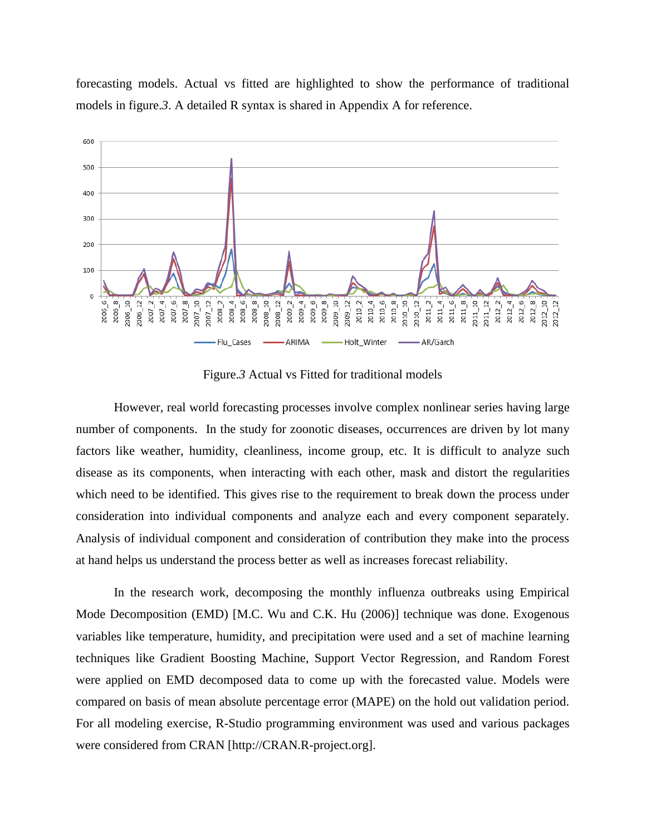forecasting models. Actual vs fitted are highlighted to show the performance of traditional models in figure.*3*. A detailed R syntax is shared in Appendix A for reference.



Figure.*3* Actual vs Fitted for traditional models

However, real world forecasting processes involve complex nonlinear series having large number of components. In the study for zoonotic diseases, occurrences are driven by lot many factors like weather, humidity, cleanliness, income group, etc. It is difficult to analyze such disease as its components, when interacting with each other, mask and distort the regularities which need to be identified. This gives rise to the requirement to break down the process under consideration into individual components and analyze each and every component separately. Analysis of individual component and consideration of contribution they make into the process at hand helps us understand the process better as well as increases forecast reliability.

In the research work, decomposing the monthly influenza outbreaks using Empirical Mode Decomposition (EMD) [M.C. Wu and C.K. Hu (2006)] technique was done. Exogenous variables like temperature, humidity, and precipitation were used and a set of machine learning techniques like Gradient Boosting Machine, Support Vector Regression, and Random Forest were applied on EMD decomposed data to come up with the forecasted value. Models were compared on basis of mean absolute percentage error (MAPE) on the hold out validation period. For all modeling exercise, R-Studio programming environment was used and various packages were considered from CRAN [http://CRAN.R-project.org].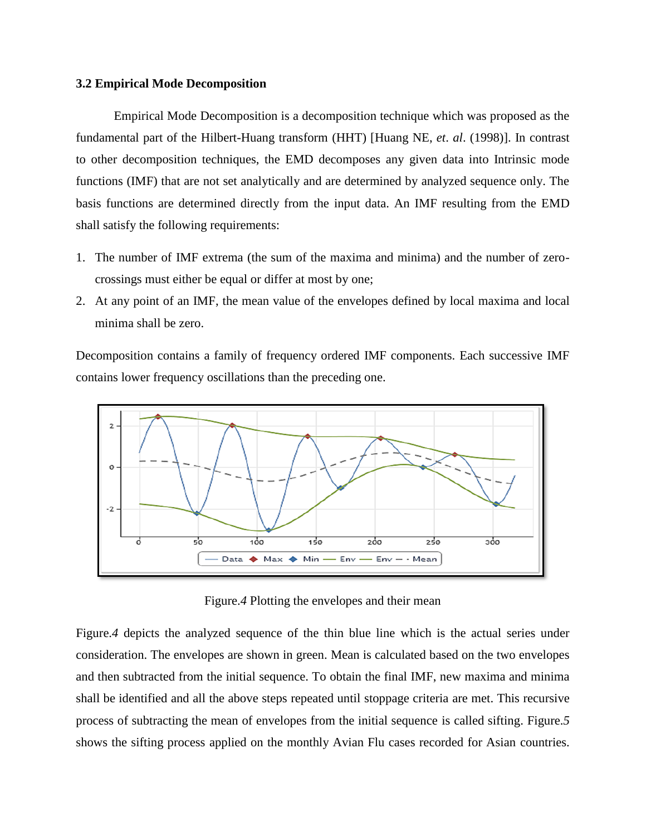#### **3.2 Empirical Mode Decomposition**

Empirical Mode Decomposition is a decomposition technique which was proposed as the fundamental part of the Hilbert-Huang transform (HHT) [Huang NE, *et*. *al*. (1998)]. In contrast to other decomposition techniques, the EMD decomposes any given data into Intrinsic mode functions (IMF) that are not set analytically and are determined by analyzed sequence only. The basis functions are determined directly from the input data. An IMF resulting from the EMD shall satisfy the following requirements:

- 1. The number of IMF extrema (the sum of the maxima and minima) and the number of zerocrossings must either be equal or differ at most by one;
- 2. At any point of an IMF, the mean value of the envelopes defined by local maxima and local minima shall be zero.

Decomposition contains a family of frequency ordered IMF components. Each successive IMF contains lower frequency oscillations than the preceding one.



Figure.*4* Plotting the envelopes and their mean

Figure.*4* depicts the analyzed sequence of the thin blue line which is the actual series under consideration. The envelopes are shown in green. Mean is calculated based on the two envelopes and then subtracted from the initial sequence. To obtain the final IMF, new maxima and minima shall be identified and all the above steps repeated until stoppage criteria are met. This recursive process of subtracting the mean of envelopes from the initial sequence is called sifting. Figure.*5* shows the sifting process applied on the monthly Avian Flu cases recorded for Asian countries.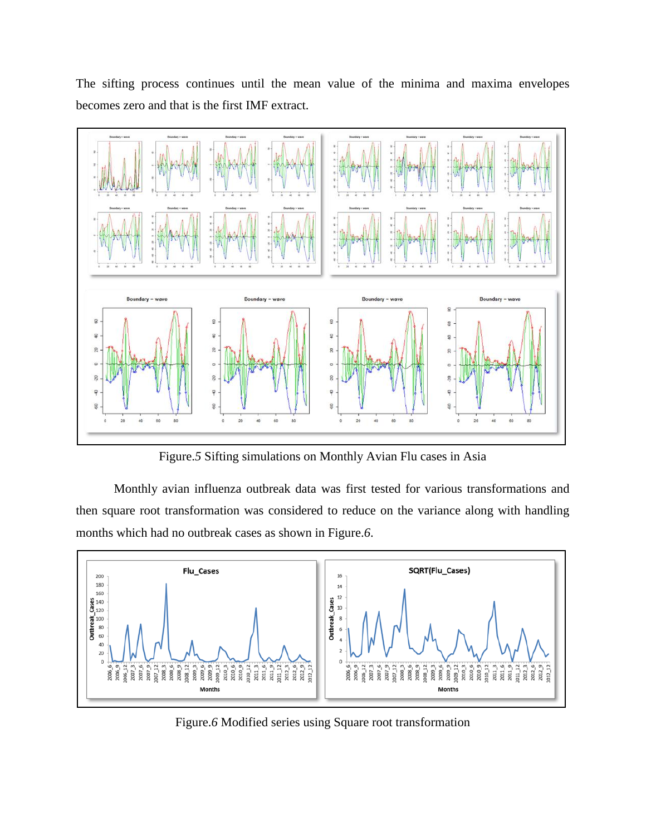The sifting process continues until the mean value of the minima and maxima envelopes becomes zero and that is the first IMF extract.



Figure.*5* Sifting simulations on Monthly Avian Flu cases in Asia

Monthly avian influenza outbreak data was first tested for various transformations and then square root transformation was considered to reduce on the variance along with handling months which had no outbreak cases as shown in Figure.*6*.



Figure.*6* Modified series using Square root transformation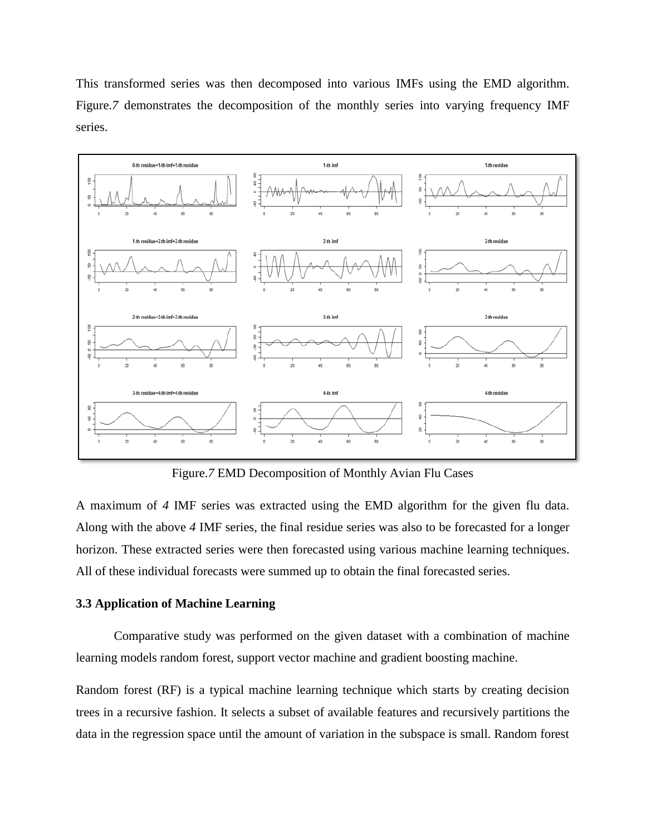This transformed series was then decomposed into various IMFs using the EMD algorithm. Figure.<sup>7</sup> demonstrates the decomposition of the monthly series into varying frequency IMF series.



Figure.*7* EMD Decomposition of Monthly Avian Flu Cases

A maximum of *4* IMF series was extracted using the EMD algorithm for the given flu data. Along with the above *4* IMF series, the final residue series was also to be forecasted for a longer horizon. These extracted series were then forecasted using various machine learning techniques. All of these individual forecasts were summed up to obtain the final forecasted series.

## **3.3 Application of Machine Learning**

Comparative study was performed on the given dataset with a combination of machine learning models random forest, support vector machine and gradient boosting machine.

Random forest (RF) is a typical machine learning technique which starts by creating decision trees in a recursive fashion. It selects a subset of available features and recursively partitions the data in the regression space until the amount of variation in the subspace is small. Random forest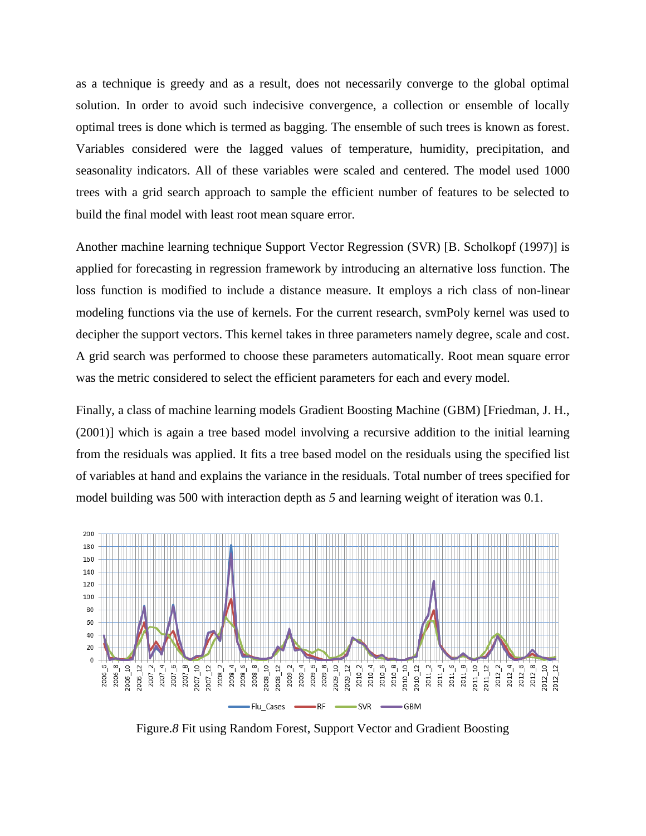as a technique is greedy and as a result, does not necessarily converge to the global optimal solution. In order to avoid such indecisive convergence, a collection or ensemble of locally optimal trees is done which is termed as bagging. The ensemble of such trees is known as forest. Variables considered were the lagged values of temperature, humidity, precipitation, and seasonality indicators. All of these variables were scaled and centered. The model used 1000 trees with a grid search approach to sample the efficient number of features to be selected to build the final model with least root mean square error.

Another machine learning technique Support Vector Regression (SVR) [B. Scholkopf (1997)] is applied for forecasting in regression framework by introducing an alternative loss function. The loss function is modified to include a distance measure. It employs a rich class of non-linear modeling functions via the use of kernels. For the current research, svmPoly kernel was used to decipher the support vectors. This kernel takes in three parameters namely degree, scale and cost. A grid search was performed to choose these parameters automatically. Root mean square error was the metric considered to select the efficient parameters for each and every model.

Finally, a class of machine learning models Gradient Boosting Machine (GBM) [Friedman, J. H., (2001)] which is again a tree based model involving a recursive addition to the initial learning from the residuals was applied. It fits a tree based model on the residuals using the specified list of variables at hand and explains the variance in the residuals. Total number of trees specified for model building was 500 with interaction depth as *5* and learning weight of iteration was 0.1.



Figure.*8* Fit using Random Forest, Support Vector and Gradient Boosting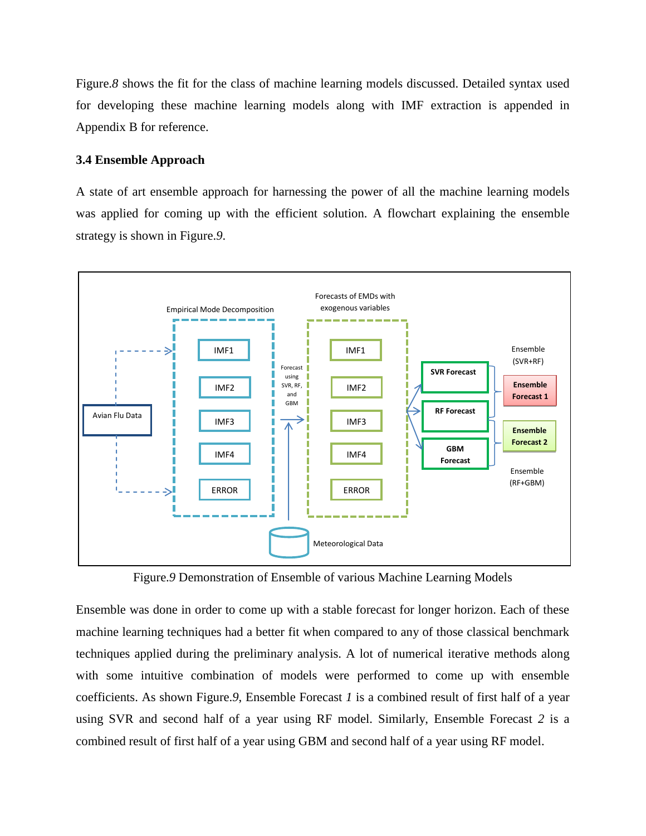Figure.*8* shows the fit for the class of machine learning models discussed. Detailed syntax used for developing these machine learning models along with IMF extraction is appended in Appendix B for reference.

#### **3.4 Ensemble Approach**

A state of art ensemble approach for harnessing the power of all the machine learning models was applied for coming up with the efficient solution. A flowchart explaining the ensemble strategy is shown in Figure.*9*.



Figure.*9* Demonstration of Ensemble of various Machine Learning Models

Ensemble was done in order to come up with a stable forecast for longer horizon. Each of these machine learning techniques had a better fit when compared to any of those classical benchmark techniques applied during the preliminary analysis. A lot of numerical iterative methods along with some intuitive combination of models were performed to come up with ensemble coefficients. As shown Figure.*9*, Ensemble Forecast *1* is a combined result of first half of a year using SVR and second half of a year using RF model. Similarly, Ensemble Forecast *2* is a combined result of first half of a year using GBM and second half of a year using RF model.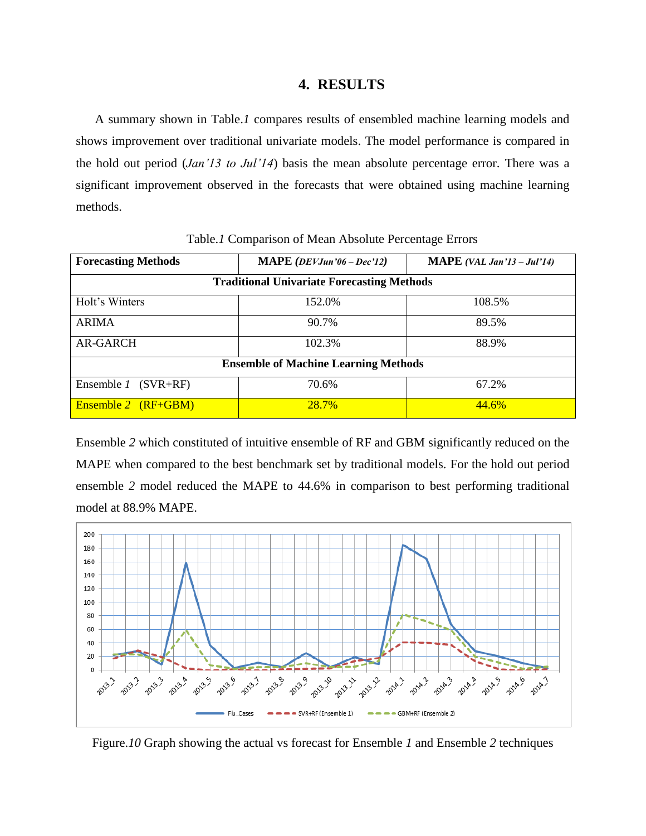## **4. RESULTS**

A summary shown in Table.*1* compares results of ensembled machine learning models and shows improvement over traditional univariate models. The model performance is compared in the hold out period (*Jan'13 to Jul'14*) basis the mean absolute percentage error. There was a significant improvement observed in the forecasts that were obtained using machine learning methods.

| <b>Forecasting Methods</b>                        | MAPE ( $DEV$ Jun'06 – Dec'12) | <b>MAPE</b> (VAL Jan'13 – Jul'14) |
|---------------------------------------------------|-------------------------------|-----------------------------------|
| <b>Traditional Univariate Forecasting Methods</b> |                               |                                   |
| Holt's Winters                                    | 152.0%                        | 108.5%                            |
| <b>ARIMA</b>                                      | 90.7%                         | 89.5%                             |
| <b>AR-GARCH</b>                                   | 102.3%                        | 88.9%                             |
| <b>Ensemble of Machine Learning Methods</b>       |                               |                                   |
| Ensemble 1<br>$(SVR+RF)$                          | 70.6%                         | 67.2%                             |
| Ensemble 2 (RF+GBM)                               | <b>28.7%</b>                  | 44.6%                             |

Table.*1* Comparison of Mean Absolute Percentage Errors

Ensemble *2* which constituted of intuitive ensemble of RF and GBM significantly reduced on the MAPE when compared to the best benchmark set by traditional models. For the hold out period ensemble *2* model reduced the MAPE to 44.6% in comparison to best performing traditional model at 88.9% MAPE.



Figure.*10* Graph showing the actual vs forecast for Ensemble *1* and Ensemble *2* techniques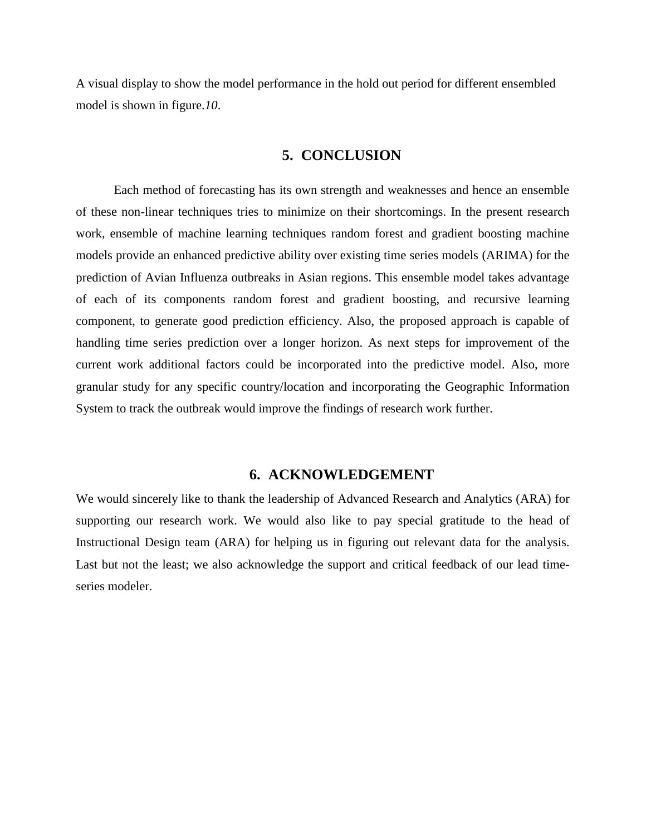A visual display to show the model performance in the hold out period for different ensembled model is shown in figure.*10*.

#### **5. CONCLUSION**

Each method of forecasting has its own strength and weaknesses and hence an ensemble of these non-linear techniques tries to minimize on their shortcomings. In the present research work, ensemble of machine learning techniques random forest and gradient boosting machine models provide an enhanced predictive ability over existing time series models (ARIMA) for the prediction of Avian Influenza outbreaks in Asian regions. This ensemble model takes advantage of each of its components random forest and gradient boosting, and recursive learning component, to generate good prediction efficiency. Also, the proposed approach is capable of handling time series prediction over a longer horizon. As next steps for improvement of the current work additional factors could be incorporated into the predictive model. Also, more granular study for any specific country/location and incorporating the Geographic Information System to track the outbreak would improve the findings of research work further.

## **6. ACKNOWLEDGEMENT**

We would sincerely like to thank the leadership of Advanced Research and Analytics (ARA) for supporting our research work. We would also like to pay special gratitude to the head of Instructional Design team (ARA) for helping us in figuring out relevant data for the analysis. Last but not the least; we also acknowledge the support and critical feedback of our lead timeseries modeler.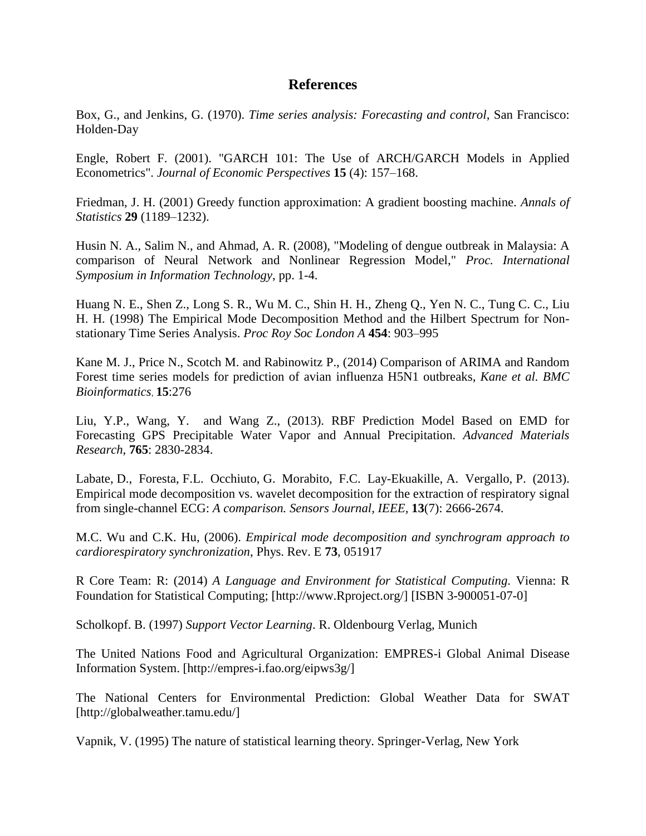## **References**

Box, G., and Jenkins, G. (1970). *Time series analysis: Forecasting and control*, San Francisco: Holden-Day

Engle, Robert F. (2001). "GARCH 101: The Use of ARCH/GARCH Models in Applied Econometrics". *Journal of Economic Perspectives* **15** (4): 157–168.

Friedman, J. H. (2001) Greedy function approximation: A gradient boosting machine*. Annals of Statistics* **29** (1189–1232).

Husin N. A., Salim N., and Ahmad, A. R. (2008), "Modeling of dengue outbreak in Malaysia: A comparison of Neural Network and Nonlinear Regression Model," *Proc. International Symposium in Information Technology*, pp. 1-4.

Huang N. E., Shen Z., Long S. R., Wu M. C., Shin H. H., Zheng Q., Yen N. C., Tung C. C., Liu H. H. (1998) The Empirical Mode Decomposition Method and the Hilbert Spectrum for Nonstationary Time Series Analysis. *Proc Roy Soc London A* **454**: 903–995

Kane M. J., Price N., Scotch M. and Rabinowitz P., (2014) Comparison of ARIMA and Random Forest time series models for prediction of avian influenza H5N1 outbreaks, *Kane et al. BMC Bioinformatics*, **15**:276

Liu, Y.P., Wang, Y. and Wang Z., (2013). RBF Prediction Model Based on EMD for Forecasting GPS Precipitable Water Vapor and Annual Precipitation. *Advanced Materials Research*, **765**: 2830-2834.

Labate, D., Foresta, F.L. Occhiuto, G. Morabito, F.C. Lay-Ekuakille, A. Vergallo, P. (2013). Empirical mode decomposition vs. wavelet decomposition for the extraction of respiratory signal from single-channel ECG: *A comparison. Sensors Journal, IEEE,* **13**(7): 2666-2674.

M.C. Wu and C.K. Hu, (2006). *Empirical mode decomposition and synchrogram approach to cardiorespiratory synchronization*, Phys. Rev. E **73**, 051917

R Core Team: R: (2014) *A Language and Environment for Statistical Computing.* Vienna: R Foundation for Statistical Computing; [http://www.Rproject.org/] [ISBN 3-900051-07-0]

Scholkopf. B. (1997) *Support Vector Learning*. R. Oldenbourg Verlag, Munich

The United Nations Food and Agricultural Organization: EMPRES-i Global Animal Disease Information System. [http://empres-i.fao.org/eipws3g/]

The National Centers for Environmental Prediction: [Global Weather Data for SWAT](http://globalweather.tamu.edu/) [\[http://globalweather.tamu.edu/\]](http://globalweather.tamu.edu/)

Vapnik, V. (1995) The nature of statistical learning theory. Springer-Verlag, New York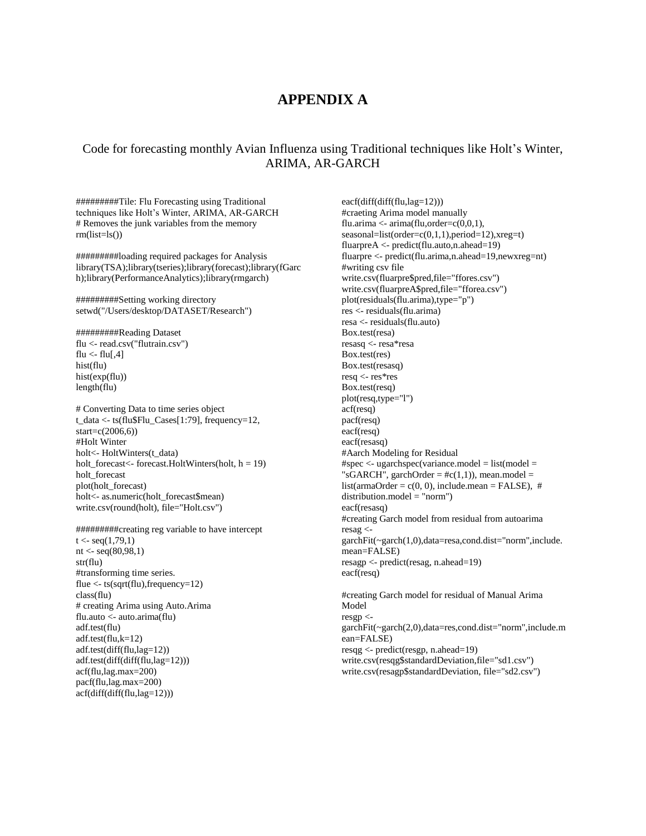## **APPENDIX A**

## Code for forecasting monthly Avian Influenza using Traditional techniques like Holt's Winter, ARIMA, AR-GARCH

#########Tile: Flu Forecasting using Traditional techniques like Holt's Winter, ARIMA, AR-GARCH # Removes the junk variables from the memory  $rm(list=ls()$ 

#########loading required packages for Analysis library(TSA);library(tseries);library(forecast);library(fGarc h);library(PerformanceAnalytics);library(rmgarch)

#########Setting working directory setwd("/Users/desktop/DATASET/Research")

#########Reading Dataset flu <- read.csv("flutrain.csv") flu  $\langle$ - flu[,4] hist(flu) hist(exp(flu)) length(flu)

# Converting Data to time series object t\_data <- ts(flu\$Flu\_Cases[1:79], frequency=12, start=c(2006,6)) #Holt Winter holt<- HoltWinters(t\_data) holt\_forecast<- forecast.HoltWinters(holt,  $h = 19$ ) holt\_forecast plot(holt\_forecast) holt<- as.numeric(holt\_forecast\$mean) write.csv(round(holt), file="Holt.csv")

#########creating reg variable to have intercept  $t <$ - seq $(1,79,1)$ nt  $\langle$ - seq $(80,98,1)$ str(flu) #transforming time series. flue <- ts(sqrt(flu),frequency=12) class(flu) # creating Arima using Auto.Arima flu.auto <- auto.arima(flu) adf.test(flu) adf.test(flu,k=12) adf.test(diff(flu,lag=12)) adf.test(diff(diff(flu,lag=12))) acf(flu,lag.max=200) pacf(flu,lag.max=200) acf(diff(diff(flu,lag=12)))

eacf(diff(diff(flu,lag=12))) #craeting Arima model manually flu.arima  $\leq$ - arima(flu,order=c(0,0,1), seasonal=list(order=c(0,1,1),period=12),xreg=t) fluarpreA <- predict(flu.auto,n.ahead=19) fluarpre <- predict(flu.arima,n.ahead=19,newxreg=nt) #writing csv file write.csv(fluarpre\$pred,file="ffores.csv") write.csv(fluarpreA\$pred,file="fforea.csv") plot(residuals(flu.arima),type="p") res <- residuals(flu.arima) resa <- residuals(flu.auto) Box.test(resa) resasq <- resa\*resa Box.test(res) Box.test(resasq) resq <- res\*res Box.test(resq) plot(resq,type="l") acf(resq) pacf(resq) eacf(resq) eacf(resasq) #Aarch Modeling for Residual  $#spec < -ugarchspec(variance_model = list(model =$ "sGARCH", garchOrder =  $\#c(1,1)$ ), mean.model = list(armaOrder =  $c(0, 0)$ , include.mean = FALSE), #  $distribution_model = "norm")$ eacf(resasq) #creating Garch model from residual from autoarima resag < garchFit(~garch(1,0),data=resa,cond.dist="norm",include. mean=FALSE) resagp <- predict(resag, n.ahead=19) eacf(resq) #creating Garch model for residual of Manual Arima Model resgp < garchFit(~garch(2,0),data=res,cond.dist="norm",include.m ean=FALSE) resqg <- predict(resgp, n.ahead=19) write.csv(resqg\$standardDeviation,file="sd1.csv")

write.csv(resagp\$standardDeviation, file="sd2.csv")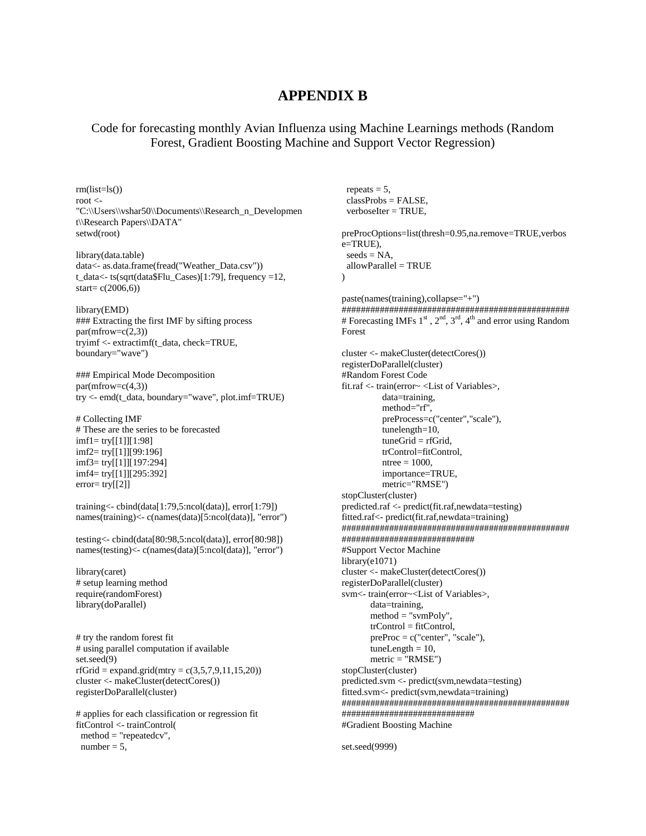## **APPENDIX B**

## Code for forecasting monthly Avian Influenza using Machine Learnings methods (Random Forest, Gradient Boosting Machine and Support Vector Regression)

 $rm(list=ls()$ root <- "C:\\Users\\vshar50\\Documents\\Research\_n\_Developmen t\\Research Papers\\DATA" setwd(root)

library(data.table) data<- as.data.frame(fread("Weather\_Data.csv")) t\_data<- ts(sqrt(data\$Flu\_Cases)[1:79], frequency =12, start= $c(2006,6)$ )

library(EMD) ### Extracting the first IMF by sifting process  $par(mfrow=c(2,3))$ tryimf <- extractimf(t\_data, check=TRUE, boundary="wave")

### Empirical Mode Decomposition  $par(mfrow=c(4,3))$ try <- emd(t\_data, boundary="wave", plot.imf=TRUE)

# Collecting IMF # These are the series to be forecasted imf1= try[[1]][1:98] imf2= try[[1]][99:196] imf3= try[[1]][197:294] imf4= try[[1]][295:392]  $error = try[2]$ 

training<- cbind(data[1:79,5:ncol(data)], error[1:79]) names(training)<- c(names(data)[5:ncol(data)], "error")

testing<- cbind(data[80:98,5:ncol(data)], error[80:98]) names(testing)<- c(names(data)[5:ncol(data)], "error")

library(caret) # setup learning method require(randomForest) library(doParallel)

# try the random forest fit # using parallel computation if available set.seed(9)  $r f G r id = expand.gr id (mtry = c(3, 5, 7, 9, 11, 15, 20))$ cluster <- makeCluster(detectCores()) registerDoParallel(cluster)

# applies for each classification or regression fit fitControl <- trainControl(  $method = "repeatedcv",$ number  $= 5$ ,

repeats  $= 5$ , classProbs = FALSE,  $verboselter = TRUE$ . preProcOptions=list(thresh=0.95,na.remove=TRUE,verbos e=TRUE),  $seeds = NA$ ,  $allowParallel = TRUE$  $\lambda$ paste(names(training),collapse="+") ################################################ # Forecasting IMFs  $1<sup>st</sup>$ ,  $2<sup>nd</sup>$ ,  $3<sup>rd</sup>$ ,  $4<sup>th</sup>$  and error using Random Forest cluster <- makeCluster(detectCores()) registerDoParallel(cluster) #Random Forest Code fit.raf <- train(error~ <List of Variables>, data=training, method="rf", preProcess=c("center","scale"), tunelength=10,  $tuneGrid = rfdrid$ , trControl=fitControl,  $ntree = 1000$ , importance=TRUE, metric="RMSE") stopCluster(cluster) predicted.raf <- predict(fit.raf,newdata=testing) fitted.raf<- predict(fit.raf,newdata=training) ################################################ ############################ #Support Vector Machine library(e1071) cluster <- makeCluster(detectCores()) registerDoParallel(cluster) svm<- train(error~<List of Variables>, data=training,  $method = "sumPoly",$  trControl = fitControl,  $preProc = c("center", "scale"),$  $tuneLength = 10$ ,  $metric = "RMSE")$ stopCluster(cluster) predicted.svm <- predict(svm,newdata=testing) fitted.svm<- predict(svm,newdata=training) ################################################ ############################ #Gradient Boosting Machine

set.seed(9999)